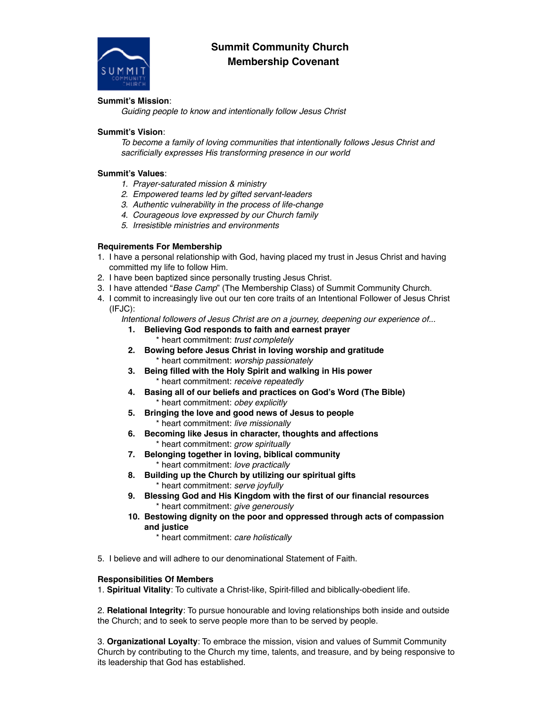## **Summit Community Church Membership Covenant**

### **Summit's Mission**:

*Guiding people to know and intentionally follow Jesus Christ* 

#### **Summit's Vision**:

*To become a family of loving communities that intentionally follows Jesus Christ and sacrificially expresses His transforming presence in our world* 

### **Summit's Values**:

- *1. Prayer-saturated mission & ministry*
- *2. Empowered teams led by gifted servant-leaders*
- *3. Authentic vulnerability in the process of life-change*
- *4. Courageous love expressed by our Church family*
- *5. Irresistible ministries and environments*

### **Requirements For Membership**

- 1. I have a personal relationship with God, having placed my trust in Jesus Christ and having committed my life to follow Him.
- 2. I have been baptized since personally trusting Jesus Christ.
- 3. I have attended "*Base Camp*" (The Membership Class) of Summit Community Church.
- 4. I commit to increasingly live out our ten core traits of an Intentional Follower of Jesus Christ (IFJC):
	- *Intentional followers of Jesus Christ are on a journey, deepening our experience of...* 
		- **1. Believing God responds to faith and earnest prayer**  \* heart commitment: *trust completely*
		- **2. Bowing before Jesus Christ in loving worship and gratitude**  \* heart commitment: *worship passionately*
		- **3. Being filled with the Holy Spirit and walking in His power**  \* heart commitment: *receive repeatedly*
		- **4. Basing all of our beliefs and practices on God's Word (The Bible)**  \* heart commitment: *obey explicitly*
		- **5. Bringing the love and good news of Jesus to people**  \* heart commitment: *live missionally*
		- **6. Becoming like Jesus in character, thoughts and affections**  \* heart commitment: *grow spiritually*
		- **7. Belonging together in loving, biblical community**  \* heart commitment: *love practically*
		- **8. Building up the Church by utilizing our spiritual gifts**  \* heart commitment: *serve joyfully*
		- **9. Blessing God and His Kingdom with the first of our financial resources**  \* heart commitment: *give generously*
		- **10. Bestowing dignity on the poor and oppressed through acts of compassion and justice**
			- \* heart commitment: *care holistically*
- 5. I believe and will adhere to our denominational Statement of Faith.

#### **Responsibilities Of Members**

1. **Spiritual Vitality**: To cultivate a Christ-like, Spirit-filled and biblically-obedient life.

2. **Relational Integrity**: To pursue honourable and loving relationships both inside and outside the Church; and to seek to serve people more than to be served by people.

3. **Organizational Loyalty**: To embrace the mission, vision and values of Summit Community Church by contributing to the Church my time, talents, and treasure, and by being responsive to its leadership that God has established.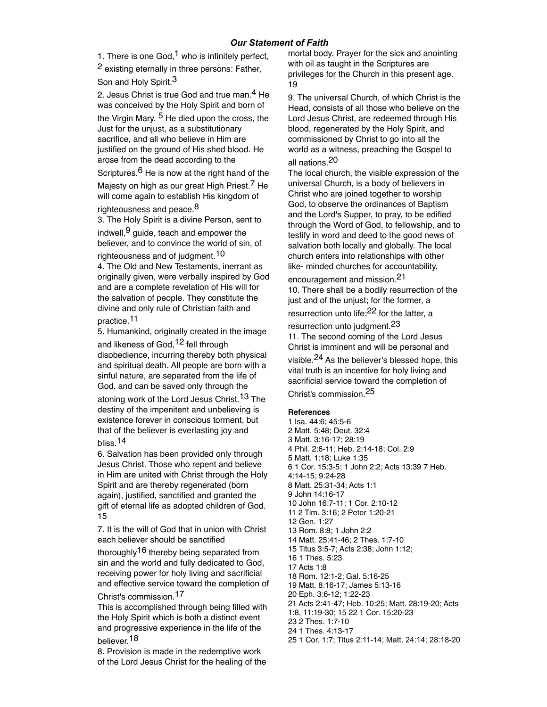1. There is one  $God<sup>1</sup>$  who is infinitely perfect,

2 existing eternally in three persons: Father, Son and Holy Spirit.<sup>3</sup>

2. Jesus Christ is true God and true man.<sup>4</sup> He was conceived by the Holy Spirit and born of the Virgin Mary. <sup>5</sup> He died upon the cross, the Just for the unjust, as a substitutionary sacrifice, and all who believe in Him are justified on the ground of His shed blood. He arose from the dead according to the

Scriptures. $6$  He is now at the right hand of the Majesty on high as our great High Priest.7 He will come again to establish His kingdom of righteousness and peace.<sup>8</sup>

3. The Holy Spirit is a divine Person, sent to indwell,  $9$  guide, teach and empower the believer, and to convince the world of sin, of righteousness and of judgment.<sup>10</sup>

4. The Old and New Testaments, inerrant as originally given, were verbally inspired by God and are a complete revelation of His will for the salvation of people. They constitute the divine and only rule of Christian faith and practice.11

5. Humankind, originally created in the image and likeness of God, <sup>12</sup> fell through disobedience, incurring thereby both physical and spiritual death. All people are born with a sinful nature, are separated from the life of God, and can be saved only through the

atoning work of the Lord Jesus Christ.<sup>13</sup> The destiny of the impenitent and unbelieving is existence forever in conscious torment, but that of the believer is everlasting joy and bliss.14

6. Salvation has been provided only through Jesus Christ. Those who repent and believe in Him are united with Christ through the Holy Spirit and are thereby regenerated (born again), justified, sanctified and granted the gift of eternal life as adopted children of God. 15

7. It is the will of God that in union with Christ each believer should be sanctified

thoroughly<sup>16</sup> thereby being separated from sin and the world and fully dedicated to God, receiving power for holy living and sacrificial and effective service toward the completion of

Christ's commission.17

This is accomplished through being filled with the Holy Spirit which is both a distinct event and progressive experience in the life of the believer.18

8. Provision is made in the redemptive work of the Lord Jesus Christ for the healing of the mortal body. Prayer for the sick and anointing with oil as taught in the Scriptures are privileges for the Church in this present age. 19

9. The universal Church, of which Christ is the Head, consists of all those who believe on the Lord Jesus Christ, are redeemed through His blood, regenerated by the Holy Spirit, and commissioned by Christ to go into all the world as a witness, preaching the Gospel to all nations.20

The local church, the visible expression of the universal Church, is a body of believers in Christ who are joined together to worship God, to observe the ordinances of Baptism and the Lord's Supper, to pray, to be edified through the Word of God, to fellowship, and to testify in word and deed to the good news of salvation both locally and globally. The local church enters into relationships with other like- minded churches for accountability,

encouragement and mission.21 10. There shall be a bodily resurrection of the just and of the unjust; for the former, a resurrection unto life;<sup>22</sup> for the latter, a

resurrection unto judgment.23 11. The second coming of the Lord Jesus Christ is imminent and will be personal and visible.<sup>24</sup> As the believer's blessed hope, this vital truth is an incentive for holy living and sacrificial service toward the completion of Christ's commission.25

**Ref**e**rences** 

1 Isa. 44:6; 45:5-6 2 Matt. 5:48; Deut. 32:4 3 Matt. 3:16-17; 28:19 4 Phil. 2:6-11; Heb. 2:14-18; Col. 2:9 5 Matt. 1:18; Luke 1:35 6 1 Cor. 15:3-5; 1 John 2:2; Acts 13:39 7 Heb. 4:14-15; 9:24-28 8 Matt. 25:31-34; Acts 1:1 9 John 14:16-17 10 John 16:7-11; 1 Cor. 2:10-12 11 2 Tim. 3:16; 2 Peter 1:20-21 12 Gen. 1:27 13 Rom. 8:8; 1 John 2:2 14 Matt. 25:41-46; 2 Thes. 1:7-10 15 Titus 3:5-7; Acts 2:38; John 1:12; 16 1 Thes. 5:23 17 Acts 1:8 18 Rom. 12:1-2; Gal. 5:16-25 19 Matt. 8:16-17; James 5:13-16 20 Eph. 3:6-12; 1:22-23 21 Acts 2:41-47; Heb. 10:25; Matt. 28:19-20; Acts 1:8, 11:19-30; 15 22 1 Cor. 15:20-23 23 2 Thes. 1:7-10 24 1 Thes. 4:13-17 25 1 Cor. 1:7; Titus 2:11-14; Matt. 24:14; 28:18-20